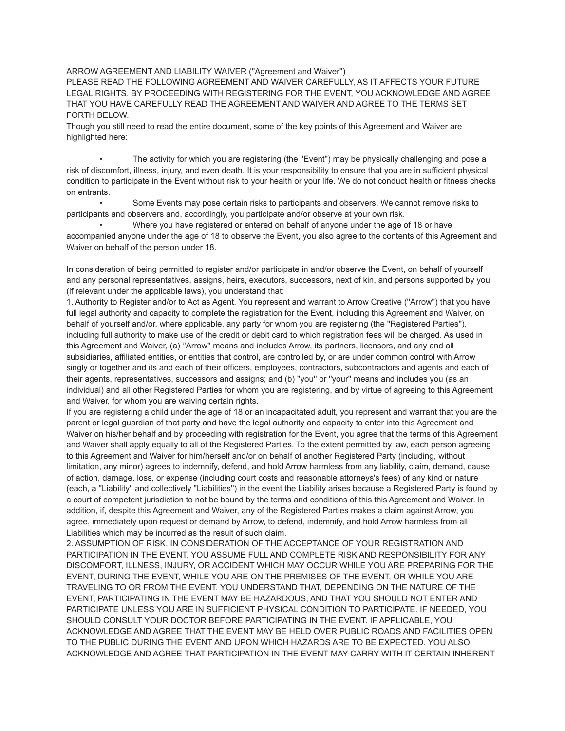ARROW AGREEMENT AND LIABILITY WAIVER (''Agreement and Waiver'')

PLEASE READ THE FOLLOWING AGREEMENT AND WAIVER CAREFULLY, AS IT AFFECTS YOUR FUTURE LEGAL RIGHTS. BY PROCEEDING WITH REGISTERING FOR THE EVENT, YOU ACKNOWLEDGE AND AGREE THAT YOU HAVE CAREFULLY READ THE AGREEMENT AND WAIVER AND AGREE TO THE TERMS SET FORTH BELOW.

Though you still need to read the entire document, some of the key points of this Agreement and Waiver are highlighted here:

The activity for which you are registering (the "Event") may be physically challenging and pose a risk of discomfort, illness, injury, and even death. It is your responsibility to ensure that you are in sufficient physical condition to participate in the Event without risk to your health or your life. We do not conduct health or fitness checks on entrants.

• Some Events may pose certain risks to participants and observers. We cannot remove risks to participants and observers and, accordingly, you participate and/or observe at your own risk.

• Where you have registered or entered on behalf of anyone under the age of 18 or have accompanied anyone under the age of 18 to observe the Event, you also agree to the contents of this Agreement and Waiver on behalf of the person under 18.

In consideration of being permitted to register and/or participate in and/or observe the Event, on behalf of yourself and any personal representatives, assigns, heirs, executors, successors, next of kin, and persons supported by you (if relevant under the applicable laws), you understand that:

1. Authority to Register and/or to Act as Agent. You represent and warrant to Arrow Creative (''Arrow'') that you have full legal authority and capacity to complete the registration for the Event, including this Agreement and Waiver, on behalf of yourself and/or, where applicable, any party for whom you are registering (the "Registered Parties"), including full authority to make use of the credit or debit card to which registration fees will be charged. As used in this Agreement and Waiver, (a) ''Arrow'' means and includes Arrow, its partners, licensors, and any and all subsidiaries, affiliated entities, or entities that control, are controlled by, or are under common control with Arrow singly or together and its and each of their officers, employees, contractors, subcontractors and agents and each of their agents, representatives, successors and assigns; and (b) ''you'' or ''your'' means and includes you (as an individual) and all other Registered Parties for whom you are registering, and by virtue of agreeing to this Agreement and Waiver, for whom you are waiving certain rights.

If you are registering a child under the age of 18 or an incapacitated adult, you represent and warrant that you are the parent or legal guardian of that party and have the legal authority and capacity to enter into this Agreement and Waiver on his/her behalf and by proceeding with registration for the Event, you agree that the terms of this Agreement and Waiver shall apply equally to all of the Registered Parties. To the extent permitted by law, each person agreeing to this Agreement and Waiver for him/herself and/or on behalf of another Registered Party (including, without limitation, any minor) agrees to indemnify, defend, and hold Arrow harmless from any liability, claim, demand, cause of action, damage, loss, or expense (including court costs and reasonable attorneys's fees) of any kind or nature (each, a ''Liability'' and collectively ''Liabilities'') in the event the Liability arises because a Registered Party is found by a court of competent jurisdiction to not be bound by the terms and conditions of this this Agreement and Waiver. In addition, if, despite this Agreement and Waiver, any of the Registered Parties makes a claim against Arrow, you agree, immediately upon request or demand by Arrow, to defend, indemnify, and hold Arrow harmless from all Liabilities which may be incurred as the result of such claim.

2. ASSUMPTION OF RISK. IN CONSIDERATION OF THE ACCEPTANCE OF YOUR REGISTRATION AND PARTICIPATION IN THE EVENT, YOU ASSUME FULL AND COMPLETE RISK AND RESPONSIBILITY FOR ANY DISCOMFORT, ILLNESS, INJURY, OR ACCIDENT WHICH MAY OCCUR WHILE YOU ARE PREPARING FOR THE EVENT, DURING THE EVENT, WHILE YOU ARE ON THE PREMISES OF THE EVENT, OR WHILE YOU ARE TRAVELING TO OR FROM THE EVENT. YOU UNDERSTAND THAT, DEPENDING ON THE NATURE OF THE EVENT, PARTICIPATING IN THE EVENT MAY BE HAZARDOUS, AND THAT YOU SHOULD NOT ENTER AND PARTICIPATE UNLESS YOU ARE IN SUFFICIENT PHYSICAL CONDITION TO PARTICIPATE. IF NEEDED, YOU SHOULD CONSULT YOUR DOCTOR BEFORE PARTICIPATING IN THE EVENT. IF APPLICABLE, YOU ACKNOWLEDGE AND AGREE THAT THE EVENT MAY BE HELD OVER PUBLIC ROADS AND FACILITIES OPEN TO THE PUBLIC DURING THE EVENT AND UPON WHICH HAZARDS ARE TO BE EXPECTED. YOU ALSO ACKNOWLEDGE AND AGREE THAT PARTICIPATION IN THE EVENT MAY CARRY WITH IT CERTAIN INHERENT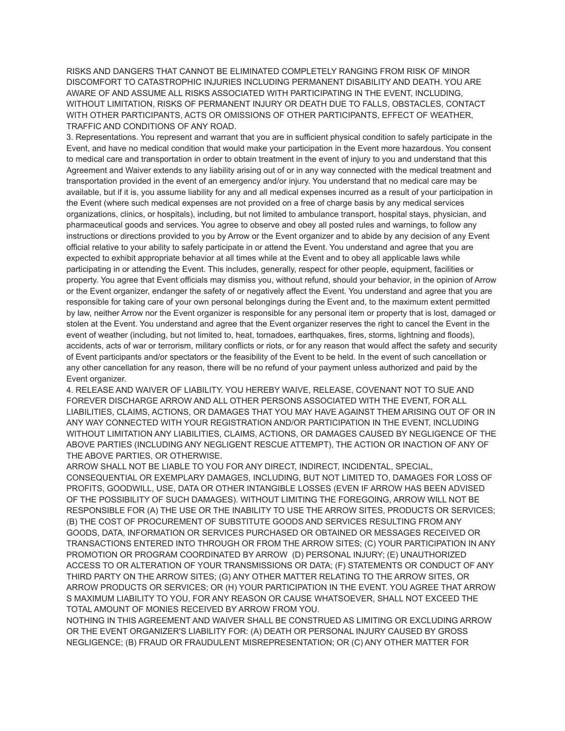RISKS AND DANGERS THAT CANNOT BE ELIMINATED COMPLETELY RANGING FROM RISK OF MINOR DISCOMFORT TO CATASTROPHIC INJURIES INCLUDING PERMANENT DISABILITY AND DEATH. YOU ARE AWARE OF AND ASSUME ALL RISKS ASSOCIATED WITH PARTICIPATING IN THE EVENT, INCLUDING, WITHOUT LIMITATION, RISKS OF PERMANENT INJURY OR DEATH DUE TO FALLS, OBSTACLES, CONTACT WITH OTHER PARTICIPANTS, ACTS OR OMISSIONS OF OTHER PARTICIPANTS, EFFECT OF WEATHER, TRAFFIC AND CONDITIONS OF ANY ROAD.

3. Representations. You represent and warrant that you are in sufficient physical condition to safely participate in the Event, and have no medical condition that would make your participation in the Event more hazardous. You consent to medical care and transportation in order to obtain treatment in the event of injury to you and understand that this Agreement and Waiver extends to any liability arising out of or in any way connected with the medical treatment and transportation provided in the event of an emergency and/or injury. You understand that no medical care may be available, but if it is, you assume liability for any and all medical expenses incurred as a result of your participation in the Event (where such medical expenses are not provided on a free of charge basis by any medical services organizations, clinics, or hospitals), including, but not limited to ambulance transport, hospital stays, physician, and pharmaceutical goods and services. You agree to observe and obey all posted rules and warnings, to follow any instructions or directions provided to you by Arrow or the Event organizer and to abide by any decision of any Event official relative to your ability to safely participate in or attend the Event. You understand and agree that you are expected to exhibit appropriate behavior at all times while at the Event and to obey all applicable laws while participating in or attending the Event. This includes, generally, respect for other people, equipment, facilities or property. You agree that Event officials may dismiss you, without refund, should your behavior, in the opinion of Arrow or the Event organizer, endanger the safety of or negatively affect the Event. You understand and agree that you are responsible for taking care of your own personal belongings during the Event and, to the maximum extent permitted by law, neither Arrow nor the Event organizer is responsible for any personal item or property that is lost, damaged or stolen at the Event. You understand and agree that the Event organizer reserves the right to cancel the Event in the event of weather (including, but not limited to, heat, tornadoes, earthquakes, fires, storms, lightning and floods), accidents, acts of war or terrorism, military conflicts or riots, or for any reason that would affect the safety and security of Event participants and/or spectators or the feasibility of the Event to be held. In the event of such cancellation or any other cancellation for any reason, there will be no refund of your payment unless authorized and paid by the Event organizer.

4. RELEASE AND WAIVER OF LIABILITY. YOU HEREBY WAIVE, RELEASE, COVENANT NOT TO SUE AND FOREVER DISCHARGE ARROW AND ALL OTHER PERSONS ASSOCIATED WITH THE EVENT, FOR ALL LIABILITIES, CLAIMS, ACTIONS, OR DAMAGES THAT YOU MAY HAVE AGAINST THEM ARISING OUT OF OR IN ANY WAY CONNECTED WITH YOUR REGISTRATION AND/OR PARTICIPATION IN THE EVENT, INCLUDING WITHOUT LIMITATION ANY LIABILITIES, CLAIMS, ACTIONS, OR DAMAGES CAUSED BY NEGLIGENCE OF THE ABOVE PARTIES (INCLUDING ANY NEGLIGENT RESCUE ATTEMPT), THE ACTION OR INACTION OF ANY OF THE ABOVE PARTIES, OR OTHERWISE.

ARROW SHALL NOT BE LIABLE TO YOU FOR ANY DIRECT, INDIRECT, INCIDENTAL, SPECIAL, CONSEQUENTIAL OR EXEMPLARY DAMAGES, INCLUDING, BUT NOT LIMITED TO, DAMAGES FOR LOSS OF PROFITS, GOODWILL, USE, DATA OR OTHER INTANGIBLE LOSSES (EVEN IF ARROW HAS BEEN ADVISED OF THE POSSIBILITY OF SUCH DAMAGES). WITHOUT LIMITING THE FOREGOING, ARROW WILL NOT BE RESPONSIBLE FOR (A) THE USE OR THE INABILITY TO USE THE ARROW SITES, PRODUCTS OR SERVICES; (B) THE COST OF PROCUREMENT OF SUBSTITUTE GOODS AND SERVICES RESULTING FROM ANY GOODS, DATA, INFORMATION OR SERVICES PURCHASED OR OBTAINED OR MESSAGES RECEIVED OR TRANSACTIONS ENTERED INTO THROUGH OR FROM THE ARROW SITES; (C) YOUR PARTICIPATION IN ANY PROMOTION OR PROGRAM COORDINATED BY ARROW (D) PERSONAL INJURY; (E) UNAUTHORIZED ACCESS TO OR ALTERATION OF YOUR TRANSMISSIONS OR DATA; (F) STATEMENTS OR CONDUCT OF ANY THIRD PARTY ON THE ARROW SITES; (G) ANY OTHER MATTER RELATING TO THE ARROW SITES, OR ARROW PRODUCTS OR SERVICES; OR (H) YOUR PARTICIPATION IN THE EVENT. YOU AGREE THAT ARROW S MAXIMUM LIABILITY TO YOU, FOR ANY REASON OR CAUSE WHATSOEVER, SHALL NOT EXCEED THE TOTAL AMOUNT OF MONIES RECEIVED BY ARROW FROM YOU.

NOTHING IN THIS AGREEMENT AND WAIVER SHALL BE CONSTRUED AS LIMITING OR EXCLUDING ARROW OR THE EVENT ORGANIZER'S LIABILITY FOR: (A) DEATH OR PERSONAL INJURY CAUSED BY GROSS NEGLIGENCE; (B) FRAUD OR FRAUDULENT MISREPRESENTATION; OR (C) ANY OTHER MATTER FOR